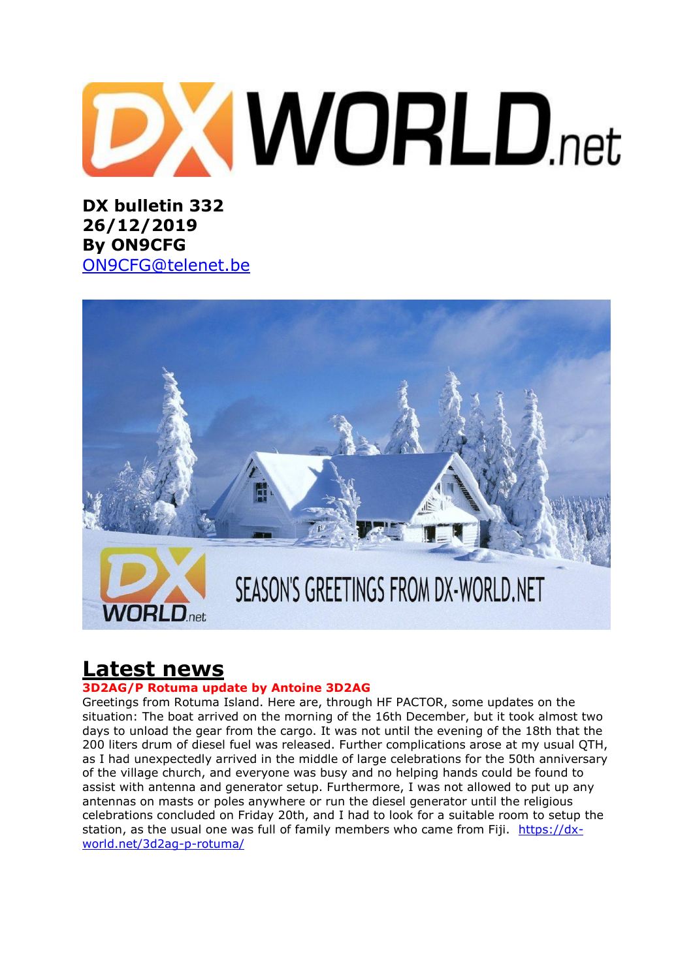# **DXWORLD**.net

**DX bulletin 332 26/12/2019 By ON9CFG**  [ON9CFG@telenet.be](mailto:ON9CFG@telenet.be)



# **Latest news**

#### **3D2AG/P Rotuma update by Antoine 3D2AG**

Greetings from Rotuma Island. Here are, through HF PACTOR, some updates on the situation: The boat arrived on the morning of the 16th December, but it took almost two days to unload the gear from the cargo. It was not until the evening of the 18th that the 200 liters drum of diesel fuel was released. Further complications arose at my usual QTH, as I had unexpectedly arrived in the middle of large celebrations for the 50th anniversary of the village church, and everyone was busy and no helping hands could be found to assist with antenna and generator setup. Furthermore, I was not allowed to put up any antennas on masts or poles anywhere or run the diesel generator until the religious celebrations concluded on Friday 20th, and I had to look for a suitable room to setup the station, as the usual one was full of family members who came from Fiji. [https://dx](https://dx-world.net/3d2ag-p-rotuma/)[world.net/3d2ag-p-rotuma/](https://dx-world.net/3d2ag-p-rotuma/)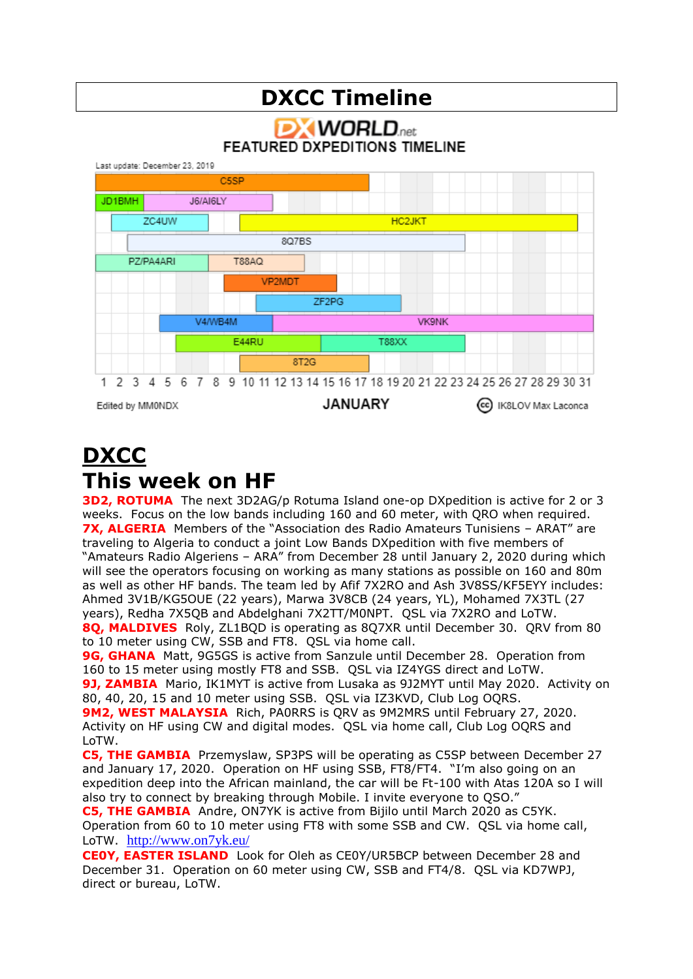#### **DXCC Timeline DX WORLD**.net **FEATURED DXPEDITIONS TIMELINE** Last update: December 23, 2019 C5SP JD1BMH JR/AIRLY ZC4UW **HC2JKT** 8Q7BS PZ/PA4ARI T88AQ VP2MDT ZF<sub>2</sub>PG V4/WB4M **VK9NK** E44RU T88XX 8T<sub>2</sub>G 1 2 3 4 5 6 7 8 9 10 11 12 13 14 15 16 17 18 19 20 21 22 23 24 25 26 27 28 29 30 31 **JANUARY** (cc) IK8LOV Max Laconca Edited by MM0NDX

## **DXCC This week on HF**

**3D2, ROTUMA** The next 3D2AG/p Rotuma Island one-op DXpedition is active for 2 or 3 weeks. Focus on the low bands including 160 and 60 meter, with QRO when required. **7X, ALGERIA** Members of the "Association des Radio Amateurs Tunisiens – ARAT" are traveling to Algeria to conduct a joint Low Bands DXpedition with five members of "Amateurs Radio Algeriens – ARA" from December 28 until January 2, 2020 during which will see the operators focusing on working as many stations as possible on 160 and 80m as well as other HF bands. The team led by Afif 7X2RO and Ash 3V8SS/KF5EYY includes: Ahmed 3V1B/KG5OUE (22 years), Marwa 3V8CB (24 years, YL), Mohamed 7X3TL (27 years), Redha 7X5QB and Abdelghani 7X2TT/M0NPT. QSL via 7X2RO and LoTW. **8Q, MALDIVES** Roly, ZL1BQD is operating as 8Q7XR until December 30. QRV from 80

to 10 meter using CW, SSB and FT8. QSL via home call. **9G, GHANA** Matt, 9G5GS is active from Sanzule until December 28. Operation from 160 to 15 meter using mostly FT8 and SSB. QSL via IZ4YGS direct and LoTW.

**9J, ZAMBIA** Mario, IK1MYT is active from Lusaka as 9J2MYT until May 2020. Activity on 80, 40, 20, 15 and 10 meter using SSB. QSL via IZ3KVD, Club Log OQRS.

**9M2, WEST MALAYSIA** Rich, PA0RRS is QRV as 9M2MRS until February 27, 2020. Activity on HF using CW and digital modes. QSL via home call, Club Log OQRS and LoTW.

**C5, THE GAMBIA** Przemyslaw, SP3PS will be operating as C5SP between December 27 and January 17, 2020. Operation on HF using SSB, FT8/FT4. "I'm also going on an expedition deep into the African mainland, the car will be Ft-100 with Atas 120A so I will also try to connect by breaking through Mobile. I invite everyone to QSO."

**C5, THE GAMBIA** Andre, ON7YK is active from Bijilo until March 2020 as C5YK. Operation from 60 to 10 meter using FT8 with some SSB and CW. QSL via home call, LoTW. <http://www.on7yk.eu/>

**CE0Y, EASTER ISLAND** Look for Oleh as CE0Y/UR5BCP between December 28 and December 31. Operation on 60 meter using CW, SSB and FT4/8. QSL via KD7WPJ, direct or bureau, LoTW.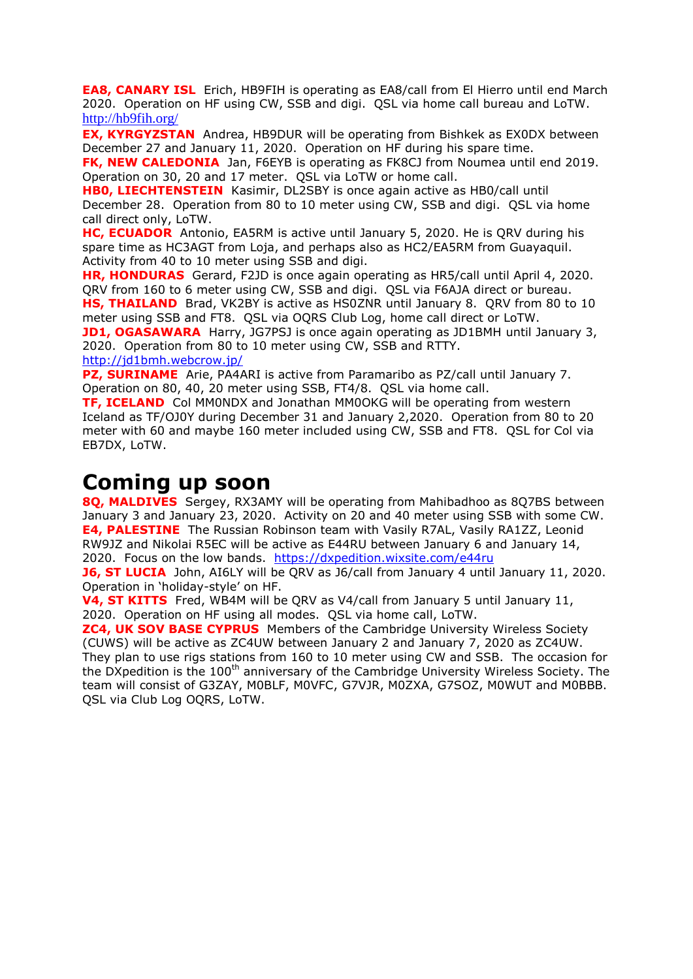**EA8, CANARY ISL** Erich, HB9FIH is operating as EA8/call from El Hierro until end March 2020. Operation on HF using CW, SSB and digi. QSL via home call bureau and LoTW. <http://hb9fih.org/>

**EX, KYRGYZSTAN** Andrea, HB9DUR will be operating from Bishkek as EX0DX between December 27 and January 11, 2020. Operation on HF during his spare time.

**FK, NEW CALEDONIA** Jan, F6EYB is operating as FK8CJ from Noumea until end 2019. Operation on 30, 20 and 17 meter. QSL via LoTW or home call.

**HB0, LIECHTENSTEIN** Kasimir, DL2SBY is once again active as HB0/call until December 28. Operation from 80 to 10 meter using CW, SSB and digi. QSL via home call direct only, LoTW.

**HC, ECUADOR** Antonio, EA5RM is active until January 5, 2020. He is QRV during his spare time as HC3AGT from Loja, and perhaps also as HC2/EA5RM from Guayaquil. Activity from 40 to 10 meter using SSB and digi.

**HR, HONDURAS** Gerard, F2JD is once again operating as HR5/call until April 4, 2020. QRV from 160 to 6 meter using CW, SSB and digi. QSL via F6AJA direct or bureau.

**HS, THAILAND** Brad, VK2BY is active as HS0ZNR until January 8. ORV from 80 to 10 meter using SSB and FT8. QSL via OQRS Club Log, home call direct or LoTW.

**JD1, OGASAWARA** Harry, JG7PSJ is once again operating as JD1BMH until January 3, 2020. Operation from 80 to 10 meter using CW, SSB and RTTY.

<http://jd1bmh.webcrow.jp/>

**PZ, SURINAME** Arie, PA4ARI is active from Paramaribo as PZ/call until January 7. Operation on 80, 40, 20 meter using SSB, FT4/8. QSL via home call.

**TF, ICELAND** Col MM0NDX and Jonathan MM0OKG will be operating from western Iceland as TF/OJ0Y during December 31 and January 2,2020. Operation from 80 to 20 meter with 60 and maybe 160 meter included using CW, SSB and FT8. QSL for Col via EB7DX, LoTW.

## **Coming up soon**

**8Q, MALDIVES** Sergey, RX3AMY will be operating from Mahibadhoo as 8Q7BS between January 3 and January 23, 2020. Activity on 20 and 40 meter using SSB with some CW. **E4, PALESTINE** The Russian Robinson team with Vasily R7AL, Vasily RA1ZZ, Leonid RW9JZ and Nikolai R5EC will be active as E44RU between January 6 and January 14, 2020. Focus on the low bands. <https://dxpedition.wixsite.com/e44ru>

**J6, ST LUCIA** John, AI6LY will be QRV as J6/call from January 4 until January 11, 2020. Operation in 'holiday-style' on HF.

**V4, ST KITTS** Fred, WB4M will be QRV as V4/call from January 5 until January 11, 2020. Operation on HF using all modes. QSL via home call, LoTW.

**ZC4, UK SOV BASE CYPRUS** Members of the Cambridge University Wireless Society (CUWS) will be active as ZC4UW between January 2 and January 7, 2020 as ZC4UW. They plan to use rigs stations from 160 to 10 meter using CW and SSB. The occasion for the DXpedition is the 100<sup>th</sup> anniversary of the Cambridge University Wireless Society. The team will consist of G3ZAY, M0BLF, M0VFC, G7VJR, M0ZXA, G7SOZ, M0WUT and M0BBB. QSL via Club Log OQRS, LoTW.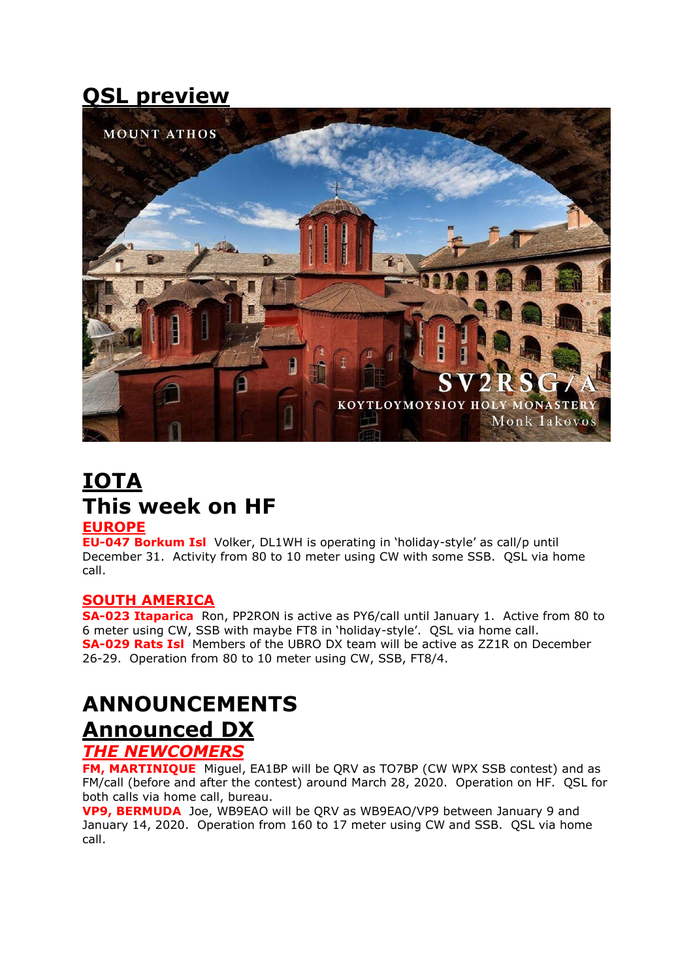# **QSL preview**



# **IOTA This week on HF**

#### **EUROPE**

**EU-047 Borkum Isl** Volker, DL1WH is operating in 'holiday-style' as call/p until December 31. Activity from 80 to 10 meter using CW with some SSB. QSL via home call.

#### **SOUTH AMERICA**

**SA-023 Itaparica** Ron, PP2RON is active as PY6/call until January 1. Active from 80 to 6 meter using CW, SSB with maybe FT8 in 'holiday-style'. QSL via home call. **SA-029 Rats Isl** Members of the UBRO DX team will be active as ZZ1R on December 26-29. Operation from 80 to 10 meter using CW, SSB, FT8/4.

# **ANNOUNCEMENTS Announced DX**

#### *THE NEWCOMERS*

**FM, MARTINIQUE** Miguel, EA1BP will be QRV as TO7BP (CW WPX SSB contest) and as FM/call (before and after the contest) around March 28, 2020. Operation on HF. QSL for both calls via home call, bureau.

**VP9, BERMUDA** Joe, WB9EAO will be QRV as WB9EAO/VP9 between January 9 and January 14, 2020. Operation from 160 to 17 meter using CW and SSB. QSL via home call.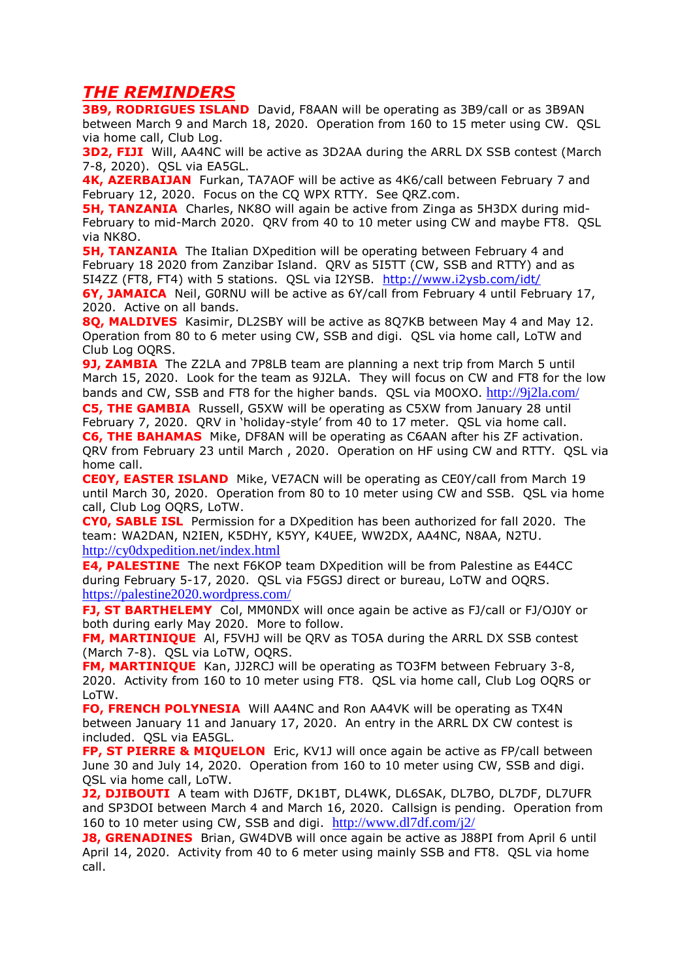#### *THE REMINDERS*

**3B9, RODRIGUES ISLAND** David, F8AAN will be operating as 3B9/call or as 3B9AN between March 9 and March 18, 2020. Operation from 160 to 15 meter using CW. QSL via home call, Club Log.

**3D2, FIJI** Will, AA4NC will be active as 3D2AA during the ARRL DX SSB contest (March 7-8, 2020). QSL via EA5GL.

**4K, AZERBAIJAN** Furkan, TA7AOF will be active as 4K6/call between February 7 and February 12, 2020. Focus on the CQ WPX RTTY. See QRZ.com.

**5H, TANZANIA** Charles, NK8O will again be active from Zinga as 5H3DX during mid-February to mid-March 2020. QRV from 40 to 10 meter using CW and maybe FT8. QSL via NK8O.

**5H, TANZANIA** The Italian DXpedition will be operating between February 4 and February 18 2020 from Zanzibar Island. QRV as 5I5TT (CW, SSB and RTTY) and as 5I4ZZ (FT8, FT4) with 5 stations. QSL via I2YSB. <http://www.i2ysb.com/idt/>

**6Y, JAMAICA** Neil, G0RNU will be active as 6Y/call from February 4 until February 17, 2020. Active on all bands.

**8Q, MALDIVES** Kasimir, DL2SBY will be active as 8Q7KB between May 4 and May 12. Operation from 80 to 6 meter using CW, SSB and digi. QSL via home call, LoTW and Club Log OQRS.

**9J, ZAMBIA** The Z2LA and 7P8LB team are planning a next trip from March 5 until March 15, 2020. Look for the team as 9J2LA. They will focus on CW and FT8 for the low bands and CW, SSB and FT8 for the higher bands. QSL via M0OXO. <http://9j2la.com/>

**C5, THE GAMBIA** Russell, G5XW will be operating as C5XW from January 28 until February 7, 2020. QRV in 'holiday-style' from 40 to 17 meter. QSL via home call. **C6, THE BAHAMAS** Mike, DF8AN will be operating as C6AAN after his ZF activation. QRV from February 23 until March , 2020. Operation on HF using CW and RTTY. QSL via home call.

**CE0Y, EASTER ISLAND** Mike, VE7ACN will be operating as CE0Y/call from March 19 until March 30, 2020. Operation from 80 to 10 meter using CW and SSB. QSL via home call, Club Log OQRS, LoTW.

**CY0, SABLE ISL** Permission for a DXpedition has been authorized for fall 2020. The team: WA2DAN, N2IEN, K5DHY, K5YY, K4UEE, WW2DX, AA4NC, N8AA, N2TU. <http://cy0dxpedition.net/index.html>

**E4, PALESTINE** The next F6KOP team DXpedition will be from Palestine as E44CC during February 5-17, 2020. QSL via F5GSJ direct or bureau, LoTW and OQRS. <https://palestine2020.wordpress.com/>

**FJ, ST BARTHELEMY** Col, MM0NDX will once again be active as FJ/call or FJ/OJ0Y or both during early May 2020. More to follow.

**FM, MARTINIQUE** Al, F5VHJ will be QRV as TO5A during the ARRL DX SSB contest (March 7-8). QSL via LoTW, OQRS.

**FM, MARTINIQUE** Kan, JJ2RCJ will be operating as TO3FM between February 3-8, 2020. Activity from 160 to 10 meter using FT8. QSL via home call, Club Log OQRS or LoTW.

**FO, FRENCH POLYNESIA** Will AA4NC and Ron AA4VK will be operating as TX4N between January 11 and January 17, 2020. An entry in the ARRL DX CW contest is included. QSL via EA5GL.

**FP, ST PIERRE & MIQUELON** Eric, KV1J will once again be active as FP/call between June 30 and July 14, 2020. Operation from 160 to 10 meter using CW, SSB and digi. QSL via home call, LoTW.

**J2, DJIBOUTI** A team with DJ6TF, DK1BT, DL4WK, DL6SAK, DL7BO, DL7DF, DL7UFR and SP3DOI between March 4 and March 16, 2020. Callsign is pending. Operation from 160 to 10 meter using CW, SSB and digi. <http://www.dl7df.com/j2/>

**J8, GRENADINES** Brian, GW4DVB will once again be active as J88PI from April 6 until April 14, 2020. Activity from 40 to 6 meter using mainly SSB and FT8. QSL via home call.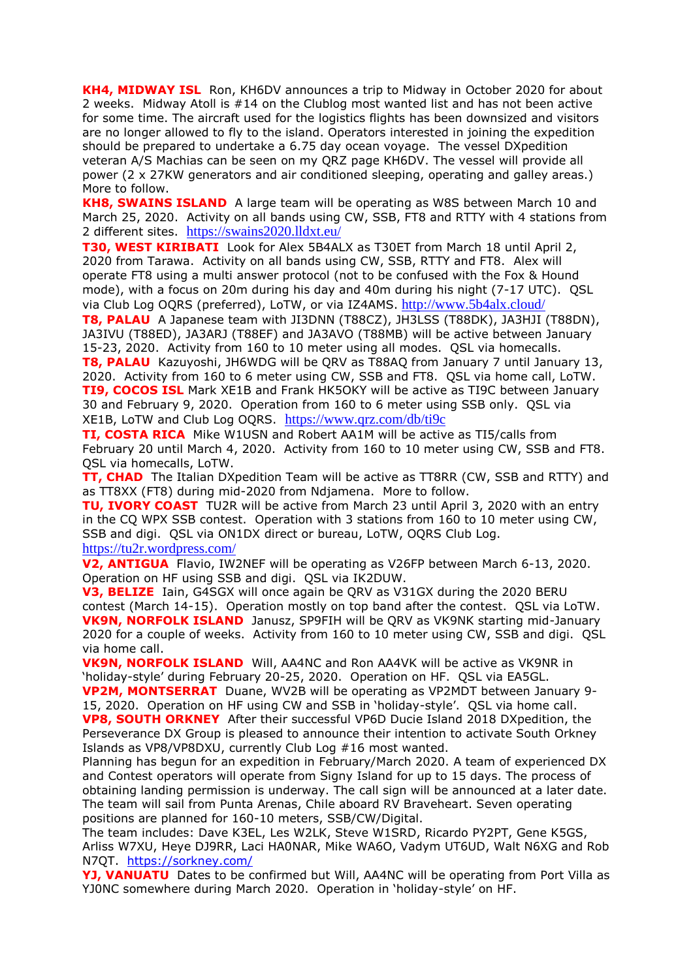**KH4, MIDWAY ISL** Ron, KH6DV announces a trip to Midway in October 2020 for about 2 weeks. Midway Atoll is #14 on the Clublog most wanted list and has not been active for some time. The aircraft used for the logistics flights has been downsized and visitors are no longer allowed to fly to the island. Operators interested in joining the expedition should be prepared to undertake a 6.75 day ocean voyage. The vessel DXpedition veteran A/S Machias can be seen on my QRZ page KH6DV. The vessel will provide all power (2 x 27KW generators and air conditioned sleeping, operating and galley areas.) More to follow.

**KH8, SWAINS ISLAND** A large team will be operating as W8S between March 10 and March 25, 2020. Activity on all bands using CW, SSB, FT8 and RTTY with 4 stations from 2 different sites. <https://swains2020.lldxt.eu/>

**T30, WEST KIRIBATI** Look for Alex 5B4ALX as T30ET from March 18 until April 2, 2020 from Tarawa. Activity on all bands using CW, SSB, RTTY and FT8. Alex will operate FT8 using a multi answer protocol (not to be confused with the Fox & Hound mode), with a focus on 20m during his day and 40m during his night (7-17 UTC). QSL via Club Log OQRS (preferred), LoTW, or via IZ4AMS. <http://www.5b4alx.cloud/>

**T8, PALAU** A Japanese team with JI3DNN (T88CZ), JH3LSS (T88DK), JA3HJI (T88DN), JA3IVU (T88ED), JA3ARJ (T88EF) and JA3AVO (T88MB) will be active between January 15-23, 2020. Activity from 160 to 10 meter using all modes. QSL via homecalls. **T8, PALAU** Kazuyoshi, JH6WDG will be QRV as T88AQ from January 7 until January 13, 2020. Activity from 160 to 6 meter using CW, SSB and FT8. QSL via home call, LoTW. **TI9, COCOS ISL** Mark XE1B and Frank HK5OKY will be active as TI9C between January 30 and February 9, 2020. Operation from 160 to 6 meter using SSB only. QSL via XE1B, LoTW and Club Log OQRS. <https://www.qrz.com/db/ti9c>

**TI, COSTA RICA** Mike W1USN and Robert AA1M will be active as TI5/calls from February 20 until March 4, 2020. Activity from 160 to 10 meter using CW, SSB and FT8. QSL via homecalls, LoTW.

**TT, CHAD** The Italian DXpedition Team will be active as TT8RR (CW, SSB and RTTY) and as TT8XX (FT8) during mid-2020 from Ndjamena. More to follow.

**TU, IVORY COAST** TU2R will be active from March 23 until April 3, 2020 with an entry in the CQ WPX SSB contest. Operation with 3 stations from 160 to 10 meter using CW, SSB and digi. QSL via ON1DX direct or bureau, LoTW, OQRS Club Log. <https://tu2r.wordpress.com/>

**V2, ANTIGUA** Flavio, IW2NEF will be operating as V26FP between March 6-13, 2020. Operation on HF using SSB and digi. QSL via IK2DUW.

**V3, BELIZE** Iain, G4SGX will once again be QRV as V31GX during the 2020 BERU contest (March 14-15). Operation mostly on top band after the contest. QSL via LoTW. **VK9N, NORFOLK ISLAND** Janusz, SP9FIH will be QRV as VK9NK starting mid-January 2020 for a couple of weeks. Activity from 160 to 10 meter using CW, SSB and digi. QSL via home call.

**VK9N, NORFOLK ISLAND** Will, AA4NC and Ron AA4VK will be active as VK9NR in 'holiday-style' during February 20-25, 2020. Operation on HF. QSL via EA5GL.

**VP2M, MONTSERRAT** Duane, WV2B will be operating as VP2MDT between January 9- 15, 2020. Operation on HF using CW and SSB in 'holiday-style'. QSL via home call. **VP8, SOUTH ORKNEY** After their successful VP6D Ducie Island 2018 DXpedition, the Perseverance DX Group is pleased to announce their intention to activate South Orkney Islands as VP8/VP8DXU, currently Club Log #16 most wanted.

Planning has begun for an expedition in February/March 2020. A team of experienced DX and Contest operators will operate from Signy Island for up to 15 days. The process of obtaining landing permission is underway. The call sign will be announced at a later date. The team will sail from Punta Arenas, Chile aboard RV Braveheart. Seven operating positions are planned for 160-10 meters, SSB/CW/Digital.

The team includes: Dave K3EL, Les W2LK, Steve W1SRD, Ricardo PY2PT, Gene K5GS, Arliss W7XU, Heye DJ9RR, Laci HA0NAR, Mike WA6O, Vadym UT6UD, Walt N6XG and Rob N7QT. <https://sorkney.com/>

**YJ, VANUATU** Dates to be confirmed but Will, AA4NC will be operating from Port Villa as YJ0NC somewhere during March 2020. Operation in 'holiday-style' on HF.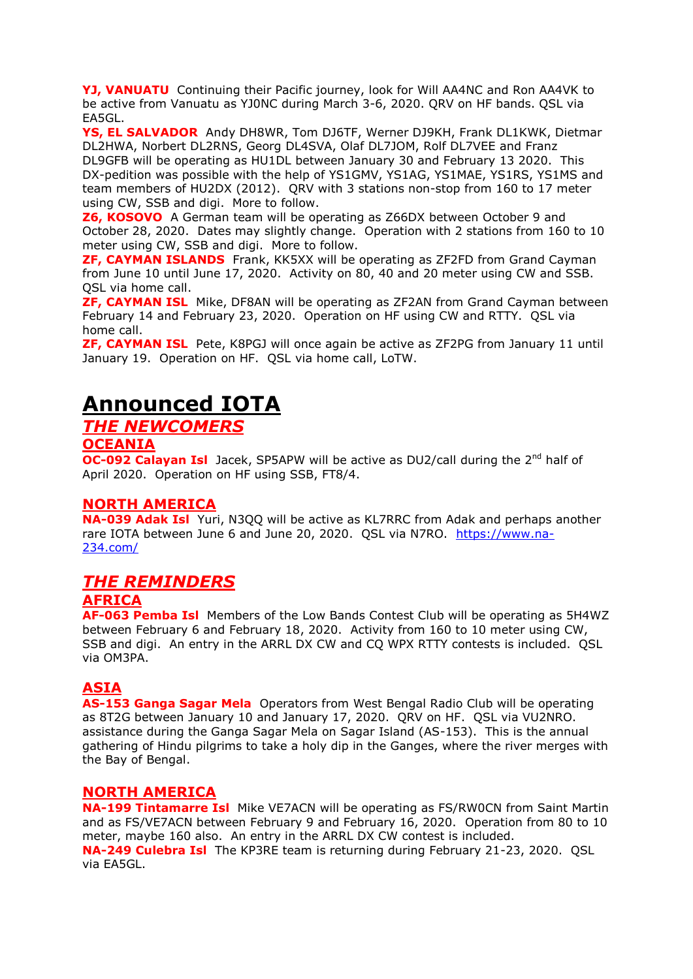**YJ, VANUATU** Continuing their Pacific journey, look for Will AA4NC and Ron AA4VK to be active from Vanuatu as YJ0NC during March 3-6, 2020. QRV on HF bands. QSL via EA5GL.

**YS, EL SALVADOR** Andy DH8WR, Tom DJ6TF, Werner DJ9KH, Frank DL1KWK, Dietmar DL2HWA, Norbert DL2RNS, Georg DL4SVA, Olaf DL7JOM, Rolf DL7VEE and Franz DL9GFB will be operating as HU1DL between January 30 and February 13 2020. This DX-pedition was possible with the help of YS1GMV, YS1AG, YS1MAE, YS1RS, YS1MS and team members of HU2DX (2012). QRV with 3 stations non-stop from 160 to 17 meter using CW, SSB and digi. More to follow.

**Z6, KOSOVO** A German team will be operating as Z66DX between October 9 and October 28, 2020. Dates may slightly change. Operation with 2 stations from 160 to 10 meter using CW, SSB and digi. More to follow.

**ZF, CAYMAN ISLANDS** Frank, KK5XX will be operating as ZF2FD from Grand Cayman from June 10 until June 17, 2020. Activity on 80, 40 and 20 meter using CW and SSB. QSL via home call.

**ZF, CAYMAN ISL** Mike, DF8AN will be operating as ZF2AN from Grand Cayman between February 14 and February 23, 2020. Operation on HF using CW and RTTY. QSL via home call.

**ZF, CAYMAN ISL** Pete, K8PGJ will once again be active as ZF2PG from January 11 until January 19. Operation on HF. QSL via home call, LoTW.

# **Announced IOTA**

#### *THE NEWCOMERS*

#### **OCEANIA**

**OC-092 Calayan Isl** Jacek, SP5APW will be active as DU2/call during the 2<sup>nd</sup> half of April 2020. Operation on HF using SSB, FT8/4.

#### **NORTH AMERICA**

**NA-039 Adak Isl** Yuri, N3QQ will be active as KL7RRC from Adak and perhaps another rare IOTA between June 6 and June 20, 2020. QSL via N7RO. [https://www.na-](https://www.na-234.com/)[234.com/](https://www.na-234.com/)

#### *THE REMINDERS*

#### **AFRICA**

**AF-063 Pemba Isl** Members of the Low Bands Contest Club will be operating as 5H4WZ between February 6 and February 18, 2020. Activity from 160 to 10 meter using CW, SSB and digi. An entry in the ARRL DX CW and CQ WPX RTTY contests is included. QSL via OM3PA.

#### **ASIA**

**AS-153 Ganga Sagar Mela** Operators from West Bengal Radio Club will be operating as 8T2G between January 10 and January 17, 2020. QRV on HF. QSL via VU2NRO. assistance during the Ganga Sagar Mela on Sagar Island (AS-153). This is the annual gathering of Hindu pilgrims to take a holy dip in the Ganges, where the river merges with the Bay of Bengal.

#### **NORTH AMERICA**

**NA-199 Tintamarre Isl** Mike VE7ACN will be operating as FS/RW0CN from Saint Martin and as FS/VE7ACN between February 9 and February 16, 2020. Operation from 80 to 10 meter, maybe 160 also. An entry in the ARRL DX CW contest is included. **NA-249 Culebra Isl** The KP3RE team is returning during February 21-23, 2020. QSL via EA5GL.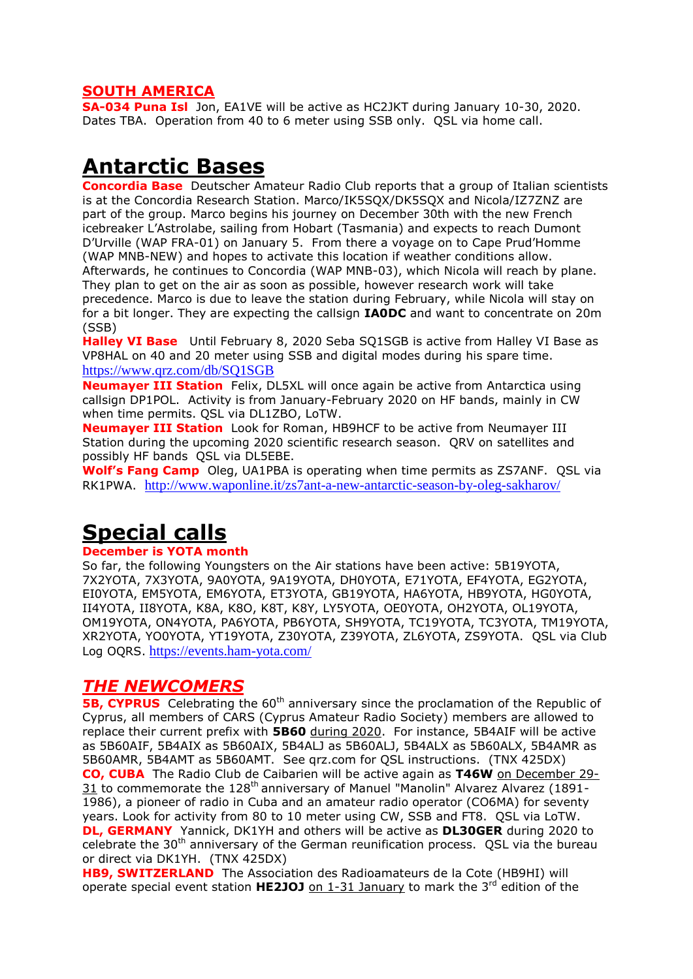#### **SOUTH AMERICA**

**SA-034 Puna Isl** Jon, EA1VE will be active as HC2JKT during January 10-30, 2020. Dates TBA. Operation from 40 to 6 meter using SSB only. QSL via home call.

### **Antarctic Bases**

**Concordia Base** Deutscher Amateur Radio Club reports that a group of Italian scientists is at the Concordia Research Station. Marco/IK5SQX/DK5SQX and Nicola/IZ7ZNZ are part of the group. Marco begins his journey on December 30th with the new French icebreaker L'Astrolabe, sailing from Hobart (Tasmania) and expects to reach Dumont D'Urville (WAP FRA-01) on January 5. From there a voyage on to Cape Prud'Homme (WAP MNB-NEW) and hopes to activate this location if weather conditions allow. Afterwards, he continues to Concordia (WAP MNB-03), which Nicola will reach by plane. They plan to get on the air as soon as possible, however research work will take precedence. Marco is due to leave the station during February, while Nicola will stay on for a bit longer. They are expecting the callsign **IA0DC** and want to concentrate on 20m (SSB)

**Halley VI Base** Until February 8, 2020 Seba SQ1SGB is active from Halley VI Base as VP8HAL on 40 and 20 meter using SSB and digital modes during his spare time. <https://www.qrz.com/db/SQ1SGB>

**Neumayer III Station** Felix, DL5XL will once again be active from Antarctica using callsign DP1POL. Activity is from January-February 2020 on HF bands, mainly in CW when time permits. QSL via DL1ZBO, LoTW.

**Neumayer III Station** Look for Roman, HB9HCF to be active from Neumayer III Station during the upcoming 2020 scientific research season. QRV on satellites and possibly HF bands QSL via DL5EBE.

**Wolf's Fang Camp** Oleg, UA1PBA is operating when time permits as ZS7ANF. QSL via RK1PWA. <http://www.waponline.it/zs7ant-a-new-antarctic-season-by-oleg-sakharov/>

# **Special calls**

#### **December is YOTA month**

So far, the following Youngsters on the Air stations have been active: 5B19YOTA, 7X2YOTA, 7X3YOTA, 9A0YOTA, 9A19YOTA, DH0YOTA, E71YOTA, EF4YOTA, EG2YOTA, EI0YOTA, EM5YOTA, EM6YOTA, ET3YOTA, GB19YOTA, HA6YOTA, HB9YOTA, HG0YOTA, II4YOTA, II8YOTA, K8A, K8O, K8T, K8Y, LY5YOTA, OE0YOTA, OH2YOTA, OL19YOTA, OM19YOTA, ON4YOTA, PA6YOTA, PB6YOTA, SH9YOTA, TC19YOTA, TC3YOTA, TM19YOTA, XR2YOTA, YO0YOTA, YT19YOTA, Z30YOTA, Z39YOTA, ZL6YOTA, ZS9YOTA. QSL via Club Log OQRS. <https://events.ham-yota.com/>

#### *THE NEWCOMERS*

**5B, CYPRUS** Celebrating the 60<sup>th</sup> anniversary since the proclamation of the Republic of Cyprus, all members of CARS (Cyprus Amateur Radio Society) members are allowed to replace their current prefix with **5B60** during 2020. For instance, 5B4AIF will be active as 5B60AIF, 5B4AIX as 5B60AIX, 5B4ALJ as 5B60ALJ, 5B4ALX as 5B60ALX, 5B4AMR as 5B60AMR, 5B4AMT as 5B60AMT. See qrz.com for QSL instructions. (TNX 425DX) **CO, CUBA** The Radio Club de Caibarien will be active again as **T46W** on December 29- 31 to commemorate the 128th anniversary of Manuel "Manolin" Alvarez Alvarez (1891- 1986), a pioneer of radio in Cuba and an amateur radio operator (CO6MA) for seventy years. Look for activity from 80 to 10 meter using CW, SSB and FT8. QSL via LoTW. **DL, GERMANY** Yannick, DK1YH and others will be active as **DL30GER** during 2020 to celebrate the  $30<sup>th</sup>$  anniversary of the German reunification process. OSL via the bureau or direct via DK1YH. (TNX 425DX)

**HB9, SWITZERLAND** The Association des Radioamateurs de la Cote (HB9HI) will operate special event station **HE2JOJ** on 1-31 January to mark the 3rd edition of the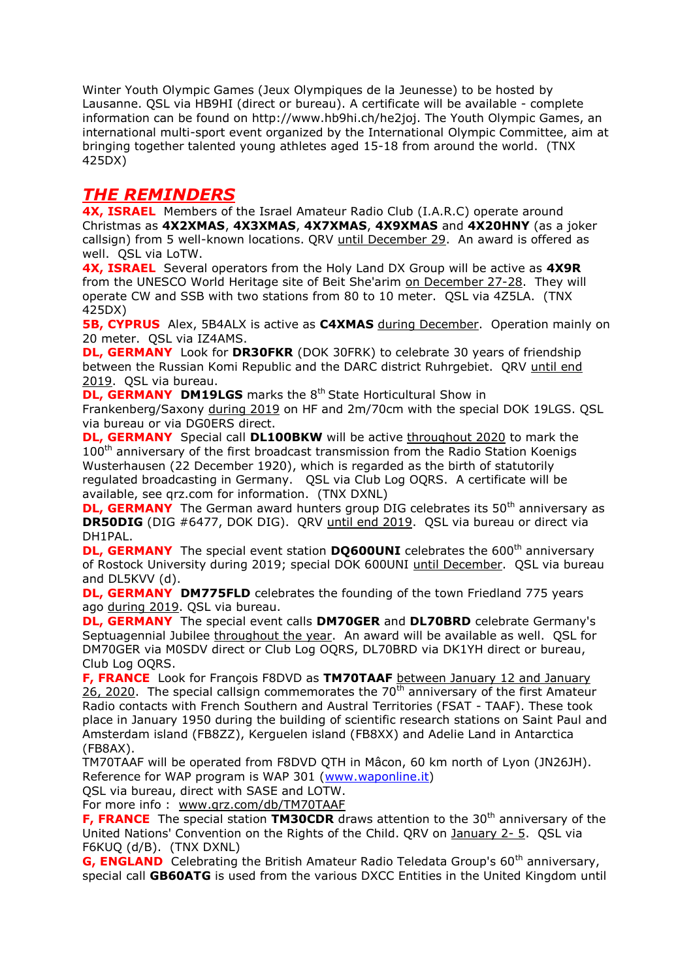Winter Youth Olympic Games (Jeux Olympiques de la Jeunesse) to be hosted by Lausanne. QSL via HB9HI (direct or bureau). A certificate will be available - complete information can be found on http://www.hb9hi.ch/he2joj. The Youth Olympic Games, an international multi-sport event organized by the International Olympic Committee, aim at bringing together talented young athletes aged 15-18 from around the world. (TNX 425DX)

#### *THE REMINDERS*

**4X, ISRAEL** Members of the Israel Amateur Radio Club (I.A.R.C) operate around Christmas as **4X2XMAS**, **4X3XMAS**, **4X7XMAS**, **4X9XMAS** and **4X20HNY** (as a joker callsign) from 5 well-known locations. QRV until December 29. An award is offered as well. QSL via LoTW.

**4X, ISRAEL** Several operators from the Holy Land DX Group will be active as **4X9R** from the UNESCO World Heritage site of Beit She'arim on December 27-28. They will operate CW and SSB with two stations from 80 to 10 meter. QSL via 4Z5LA. (TNX 425DX)

**5B, CYPRUS** Alex, 5B4ALX is active as C4XMAS during December. Operation mainly on 20 meter. QSL via IZ4AMS.

**DL, GERMANY** Look for **DR30FKR** (DOK 30FRK) to celebrate 30 years of friendship between the Russian Komi Republic and the DARC district Ruhrgebiet. QRV until end 2019. QSL via bureau.

**DL, GERMANY** DM19LGS marks the 8<sup>th</sup> State Horticultural Show in

Frankenberg/Saxony during 2019 on HF and 2m/70cm with the special DOK 19LGS. QSL via bureau or via DG0ERS direct.

**DL, GERMANY** Special call **DL100BKW** will be active throughout 2020 to mark the 100<sup>th</sup> anniversary of the first broadcast transmission from the Radio Station Koenigs Wusterhausen (22 December 1920), which is regarded as the birth of statutorily regulated broadcasting in Germany. QSL via Club Log OQRS. A certificate will be available, see qrz.com for information. (TNX DXNL)

**DL, GERMANY** The German award hunters group DIG celebrates its 50<sup>th</sup> anniversary as **DR50DIG** (DIG #6477, DOK DIG). QRV until end 2019. QSL via bureau or direct via DH1PAL.

**DL, GERMANY** The special event station **DQ600UNI** celebrates the 600<sup>th</sup> anniversary of Rostock University during 2019; special DOK 600UNI until December. QSL via bureau and DL5KVV (d).

**DL, GERMANY DM775FLD** celebrates the founding of the town Friedland 775 years ago during 2019. QSL via bureau.

**DL, GERMANY** The special event calls **DM70GER** and **DL70BRD** celebrate Germany's Septuagennial Jubilee throughout the year. An award will be available as well. QSL for DM70GER via M0SDV direct or Club Log OQRS, DL70BRD via DK1YH direct or bureau, Club Log OQRS.

**F, FRANCE** Look for François F8DVD as **TM70TAAF** between January 12 and January  $26$ , 2020. The special callsign commemorates the 70<sup>th</sup> anniversary of the first Amateur Radio contacts with French Southern and Austral Territories (FSAT - TAAF). These took place in January 1950 during the building of scientific research stations on Saint Paul and Amsterdam island (FB8ZZ), Kerguelen island (FB8XX) and Adelie Land in Antarctica (FB8AX).

TM70TAAF will be operated from F8DVD QTH in Mâcon, 60 km north of Lyon (JN26JH). Reference for WAP program is WAP 301 [\(www.waponline.it\)](http://www.waponline.it/)

QSL via bureau, direct with SASE and LOTW.

For more info : [www.qrz.com/db/TM70TAAF](http://www.qrz.com/db/TM70TAAF)

**F, FRANCE** The special station **TM30CDR** draws attention to the 30<sup>th</sup> anniversary of the United Nations' Convention on the Rights of the Child. QRV on January 2- 5. QSL via F6KUQ (d/B). (TNX DXNL)

**G. ENGLAND** Celebrating the British Amateur Radio Teledata Group's 60<sup>th</sup> anniversary, special call **GB60ATG** is used from the various DXCC Entities in the United Kingdom until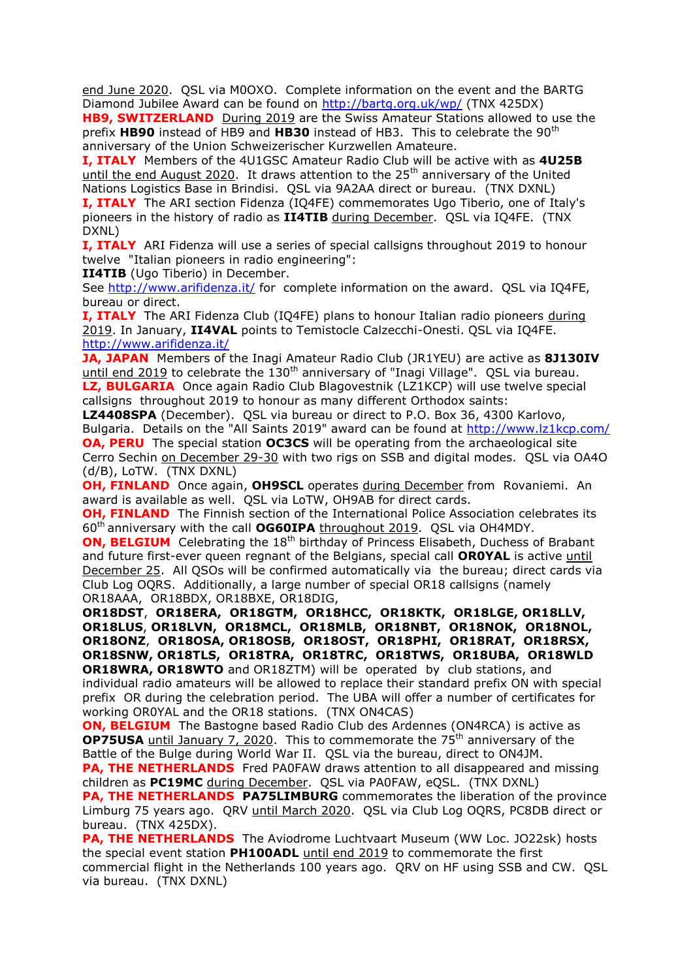end June 2020. QSL via M0OXO. Complete information on the event and the BARTG Diamond Jubilee Award can be found on<http://bartg.org.uk/wp/> (TNX 425DX)

**HB9, SWITZERLAND** During 2019 are the Swiss Amateur Stations allowed to use the prefix **HB90** instead of HB9 and **HB30** instead of HB3. This to celebrate the 90th anniversary of the Union Schweizerischer Kurzwellen Amateure.

**I, ITALY** Members of the 4U1GSC Amateur Radio Club will be active with as **4U25B** until the end August 2020. It draws attention to the  $25<sup>th</sup>$  anniversary of the United Nations Logistics Base in Brindisi. QSL via 9A2AA direct or bureau. (TNX DXNL)

**I, ITALY** The ARI section Fidenza (IQ4FE) commemorates Ugo Tiberio, one of Italy's pioneers in the history of radio as **II4TIB** during December. QSL via IQ4FE. (TNX DXNL)

**I, ITALY** ARI Fidenza will use a series of special callsigns throughout 2019 to honour twelve "Italian pioneers in radio engineering":

**II4TIB** (Ugo Tiberio) in December.

See<http://www.arifidenza.it/> for complete information on the award. QSL via IQ4FE, bureau or direct.

**I, ITALY** The ARI Fidenza Club (IQ4FE) plans to honour Italian radio pioneers during 2019. In January, **II4VAL** points to Temistocle Calzecchi-Onesti. QSL via IQ4FE. <http://www.arifidenza.it/>

**JA, JAPAN** Members of the Inagi Amateur Radio Club (JR1YEU) are active as **8J130IV** until end 2019 to celebrate the  $130<sup>th</sup>$  anniversary of "Inagi Village". QSL via bureau. **LZ, BULGARIA** Once again Radio Club Blagovestnik (LZ1KCP) will use twelve special callsigns throughout 2019 to honour as many different Orthodox saints:

**LZ4408SPA** (December). QSL via bureau or direct to P.O. Box 36, 4300 Karlovo, Bulgaria. Details on the "All Saints 2019" award can be found at<http://www.lz1kcp.com/> **OA, PERU** The special station **OC3CS** will be operating from the archaeological site Cerro Sechin on December 29-30 with two rigs on SSB and digital modes. QSL via OA4O (d/B), LoTW. (TNX DXNL)

**OH, FINLAND** Once again, **OH9SCL** operates during December from Rovaniemi. An award is available as well. QSL via LoTW, OH9AB for direct cards.

**OH, FINLAND** The Finnish section of the International Police Association celebrates its 60th anniversary with the call **OG60IPA** throughout 2019. QSL via OH4MDY.

**ON, BELGIUM** Celebrating the 18<sup>th</sup> birthday of Princess Elisabeth, Duchess of Brabant and future first-ever queen regnant of the Belgians, special call **OR0YAL** is active until December 25. All QSOs will be confirmed automatically via the bureau; direct cards via Club Log OQRS. Additionally, a large number of special OR18 callsigns (namely OR18AAA, OR18BDX, OR18BXE, OR18DIG,

**OR18DST**, **OR18ERA, OR18GTM, OR18HCC, OR18KTK, OR18LGE, OR18LLV, OR18LUS**, **OR18LVN, OR18MCL, OR18MLB, OR18NBT, OR18NOK, OR18NOL, OR18ONZ**, **OR18OSA, OR18OSB, OR18OST, OR18PHI, OR18RAT, OR18RSX, OR18SNW, OR18TLS, OR18TRA, OR18TRC, OR18TWS, OR18UBA, OR18WLD OR18WRA, OR18WTO** and OR18ZTM) will be operated by club stations, and individual radio amateurs will be allowed to replace their standard prefix ON with special prefix OR during the celebration period. The UBA will offer a number of certificates for working OR0YAL and the OR18 stations. (TNX ON4CAS)

**ON, BELGIUM** The Bastogne based Radio Club des Ardennes (ON4RCA) is active as **OP75USA** until January 7, 2020. This to commemorate the 75<sup>th</sup> anniversary of the Battle of the Bulge during World War II. QSL via the bureau, direct to ON4JM.

**PA, THE NETHERLANDS** Fred PA0FAW draws attention to all disappeared and missing children as **PC19MC** during December. QSL via PA0FAW, eQSL. (TNX DXNL)

**PA, THE NETHERLANDS PA75LIMBURG** commemorates the liberation of the province Limburg 75 years ago. QRV until March 2020. QSL via Club Log OQRS, PC8DB direct or bureau. (TNX 425DX).

**PA, THE NETHERLANDS** The Aviodrome Luchtvaart Museum (WW Loc. JO22sk) hosts the special event station **PH100ADL** until end 2019 to commemorate the first commercial flight in the Netherlands 100 years ago. QRV on HF using SSB and CW. QSL via bureau. (TNX DXNL)